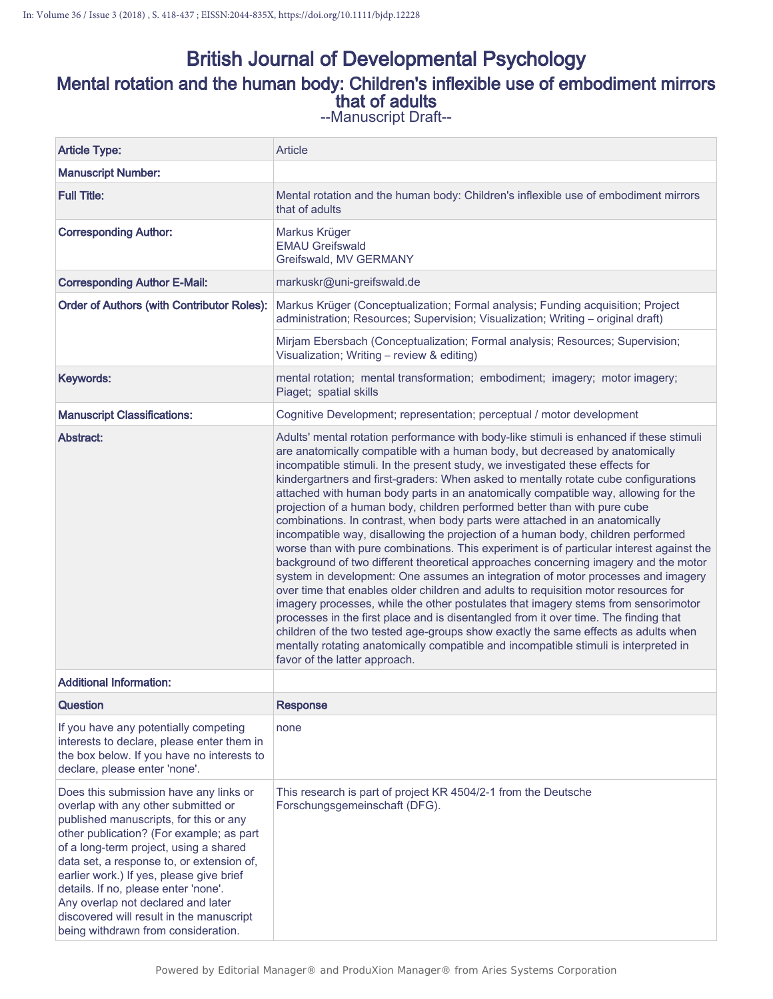# British Journal of Developmental Psychology Mental rotation and the human body: Children's inflexible use of embodiment mirrors that of adults

| <b>Article Type:</b>                                                                                                                                                                                                                                                                                                                                                                                                                                                    | Article                                                                                                                                                                                                                                                                                                                                                                                                                                                                                                                                                                                                                                                                                                                                                                                                                                                                                                                                                                                                                                                                                                                                                                                                                                                                                                                                                                                                                                          |  |  |  |  |
|-------------------------------------------------------------------------------------------------------------------------------------------------------------------------------------------------------------------------------------------------------------------------------------------------------------------------------------------------------------------------------------------------------------------------------------------------------------------------|--------------------------------------------------------------------------------------------------------------------------------------------------------------------------------------------------------------------------------------------------------------------------------------------------------------------------------------------------------------------------------------------------------------------------------------------------------------------------------------------------------------------------------------------------------------------------------------------------------------------------------------------------------------------------------------------------------------------------------------------------------------------------------------------------------------------------------------------------------------------------------------------------------------------------------------------------------------------------------------------------------------------------------------------------------------------------------------------------------------------------------------------------------------------------------------------------------------------------------------------------------------------------------------------------------------------------------------------------------------------------------------------------------------------------------------------------|--|--|--|--|
| <b>Manuscript Number:</b>                                                                                                                                                                                                                                                                                                                                                                                                                                               |                                                                                                                                                                                                                                                                                                                                                                                                                                                                                                                                                                                                                                                                                                                                                                                                                                                                                                                                                                                                                                                                                                                                                                                                                                                                                                                                                                                                                                                  |  |  |  |  |
| <b>Full Title:</b>                                                                                                                                                                                                                                                                                                                                                                                                                                                      | Mental rotation and the human body: Children's inflexible use of embodiment mirrors<br>that of adults                                                                                                                                                                                                                                                                                                                                                                                                                                                                                                                                                                                                                                                                                                                                                                                                                                                                                                                                                                                                                                                                                                                                                                                                                                                                                                                                            |  |  |  |  |
| <b>Corresponding Author:</b>                                                                                                                                                                                                                                                                                                                                                                                                                                            | Markus Krüger<br><b>EMAU Greifswald</b><br>Greifswald, MV GERMANY                                                                                                                                                                                                                                                                                                                                                                                                                                                                                                                                                                                                                                                                                                                                                                                                                                                                                                                                                                                                                                                                                                                                                                                                                                                                                                                                                                                |  |  |  |  |
| <b>Corresponding Author E-Mail:</b>                                                                                                                                                                                                                                                                                                                                                                                                                                     | markuskr@uni-greifswald.de                                                                                                                                                                                                                                                                                                                                                                                                                                                                                                                                                                                                                                                                                                                                                                                                                                                                                                                                                                                                                                                                                                                                                                                                                                                                                                                                                                                                                       |  |  |  |  |
| <b>Order of Authors (with Contributor Roles):</b>                                                                                                                                                                                                                                                                                                                                                                                                                       | Markus Krüger (Conceptualization; Formal analysis; Funding acquisition; Project<br>administration; Resources; Supervision; Visualization; Writing - original draft)                                                                                                                                                                                                                                                                                                                                                                                                                                                                                                                                                                                                                                                                                                                                                                                                                                                                                                                                                                                                                                                                                                                                                                                                                                                                              |  |  |  |  |
|                                                                                                                                                                                                                                                                                                                                                                                                                                                                         | Mirjam Ebersbach (Conceptualization; Formal analysis; Resources; Supervision;<br>Visualization; Writing - review & editing)                                                                                                                                                                                                                                                                                                                                                                                                                                                                                                                                                                                                                                                                                                                                                                                                                                                                                                                                                                                                                                                                                                                                                                                                                                                                                                                      |  |  |  |  |
| Keywords:                                                                                                                                                                                                                                                                                                                                                                                                                                                               | mental rotation; mental transformation; embodiment; imagery; motor imagery;<br>Piaget; spatial skills                                                                                                                                                                                                                                                                                                                                                                                                                                                                                                                                                                                                                                                                                                                                                                                                                                                                                                                                                                                                                                                                                                                                                                                                                                                                                                                                            |  |  |  |  |
| <b>Manuscript Classifications:</b>                                                                                                                                                                                                                                                                                                                                                                                                                                      | Cognitive Development; representation; perceptual / motor development                                                                                                                                                                                                                                                                                                                                                                                                                                                                                                                                                                                                                                                                                                                                                                                                                                                                                                                                                                                                                                                                                                                                                                                                                                                                                                                                                                            |  |  |  |  |
| Abstract:                                                                                                                                                                                                                                                                                                                                                                                                                                                               | Adults' mental rotation performance with body-like stimuli is enhanced if these stimuli<br>are anatomically compatible with a human body, but decreased by anatomically<br>incompatible stimuli. In the present study, we investigated these effects for<br>kindergartners and first-graders: When asked to mentally rotate cube configurations<br>attached with human body parts in an anatomically compatible way, allowing for the<br>projection of a human body, children performed better than with pure cube<br>combinations. In contrast, when body parts were attached in an anatomically<br>incompatible way, disallowing the projection of a human body, children performed<br>worse than with pure combinations. This experiment is of particular interest against the<br>background of two different theoretical approaches concerning imagery and the motor<br>system in development: One assumes an integration of motor processes and imagery<br>over time that enables older children and adults to requisition motor resources for<br>imagery processes, while the other postulates that imagery stems from sensorimotor<br>processes in the first place and is disentangled from it over time. The finding that<br>children of the two tested age-groups show exactly the same effects as adults when<br>mentally rotating anatomically compatible and incompatible stimuli is interpreted in<br>favor of the latter approach. |  |  |  |  |
| <b>Additional Information:</b>                                                                                                                                                                                                                                                                                                                                                                                                                                          |                                                                                                                                                                                                                                                                                                                                                                                                                                                                                                                                                                                                                                                                                                                                                                                                                                                                                                                                                                                                                                                                                                                                                                                                                                                                                                                                                                                                                                                  |  |  |  |  |
| <b>Question</b>                                                                                                                                                                                                                                                                                                                                                                                                                                                         | <b>Response</b>                                                                                                                                                                                                                                                                                                                                                                                                                                                                                                                                                                                                                                                                                                                                                                                                                                                                                                                                                                                                                                                                                                                                                                                                                                                                                                                                                                                                                                  |  |  |  |  |
| If you have any potentially competing<br>interests to declare, please enter them in<br>the box below. If you have no interests to<br>declare, please enter 'none'.                                                                                                                                                                                                                                                                                                      | none                                                                                                                                                                                                                                                                                                                                                                                                                                                                                                                                                                                                                                                                                                                                                                                                                                                                                                                                                                                                                                                                                                                                                                                                                                                                                                                                                                                                                                             |  |  |  |  |
| Does this submission have any links or<br>overlap with any other submitted or<br>published manuscripts, for this or any<br>other publication? (For example; as part<br>of a long-term project, using a shared<br>data set, a response to, or extension of,<br>earlier work.) If yes, please give brief<br>details. If no, please enter 'none'.<br>Any overlap not declared and later<br>discovered will result in the manuscript<br>being withdrawn from consideration. | This research is part of project KR 4504/2-1 from the Deutsche<br>Forschungsgemeinschaft (DFG).                                                                                                                                                                                                                                                                                                                                                                                                                                                                                                                                                                                                                                                                                                                                                                                                                                                                                                                                                                                                                                                                                                                                                                                                                                                                                                                                                  |  |  |  |  |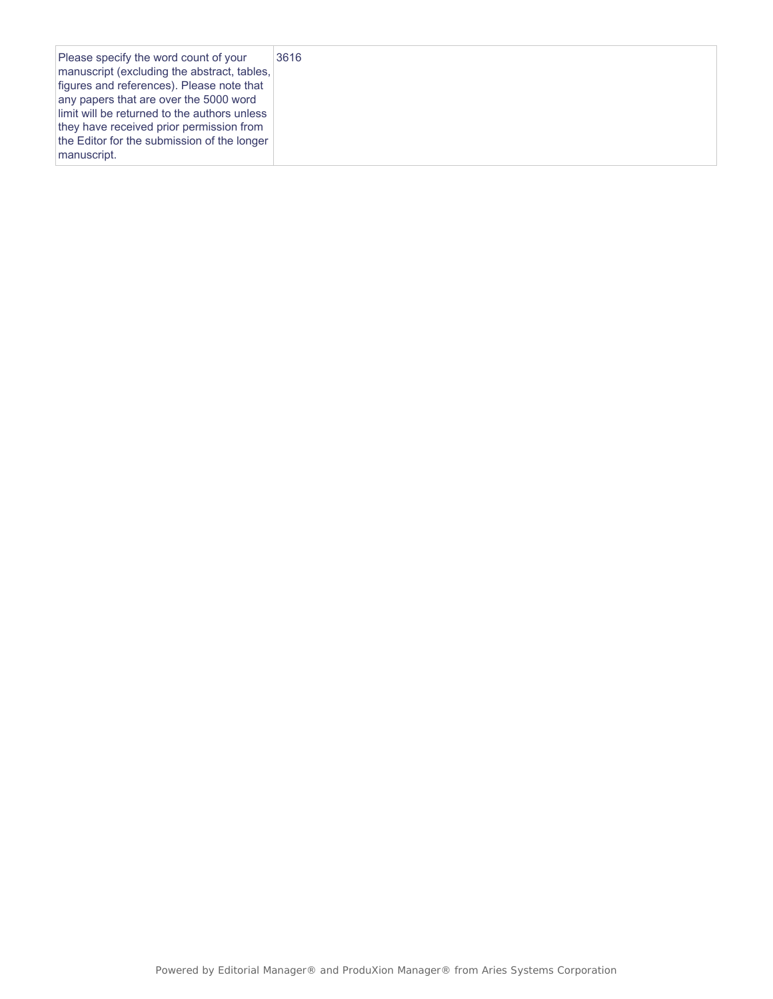| Please specify the word count of your<br>manuscript (excluding the abstract, tables,<br>figures and references). Please note that<br>any papers that are over the 5000 word<br>limit will be returned to the authors unless<br>they have received prior permission from<br>the Editor for the submission of the longer<br>manuscript. | 3616 |
|---------------------------------------------------------------------------------------------------------------------------------------------------------------------------------------------------------------------------------------------------------------------------------------------------------------------------------------|------|
|---------------------------------------------------------------------------------------------------------------------------------------------------------------------------------------------------------------------------------------------------------------------------------------------------------------------------------------|------|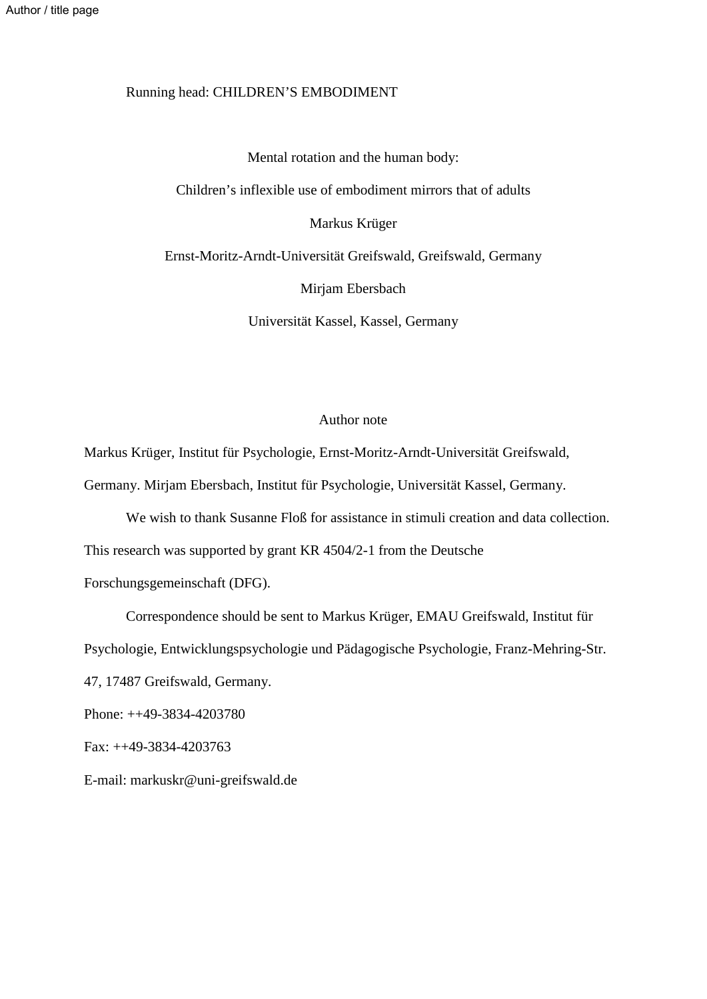## Running head: CHILDREN'S EMBODIMENT

Mental rotation and the human body: Children's inflexible use of embodiment mirrors that of adults Markus Krüger Ernst-Moritz-Arndt-Universität Greifswald, Greifswald, Germany Mirjam Ebersbach Universität Kassel, Kassel, Germany

## Author note

Markus Krüger, Institut für Psychologie, Ernst-Moritz-Arndt-Universität Greifswald, Germany. Mirjam Ebersbach, Institut für Psychologie, Universität Kassel, Germany.

We wish to thank Susanne Floß for assistance in stimuli creation and data collection. This research was supported by grant KR 4504/2-1 from the Deutsche Forschungsgemeinschaft (DFG).

Correspondence should be sent to Markus Krüger, EMAU Greifswald, Institut für Psychologie, Entwicklungspsychologie und Pädagogische Psychologie, Franz-Mehring-Str.

47, 17487 Greifswald, Germany.

Phone: ++49-3834-4203780

Fax: ++49-3834-4203763

E-mail: markuskr@uni-greifswald.de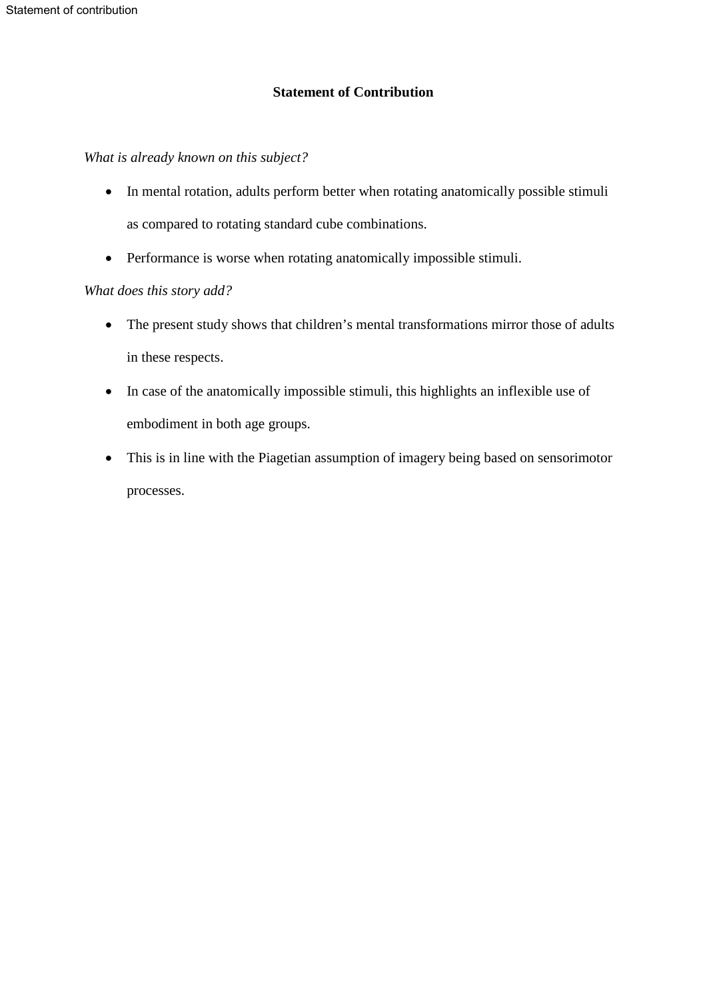## **Statement of Contribution**

*What is already known on this subject?* 

- In mental rotation, adults perform better when rotating anatomically possible stimuli as compared to rotating standard cube combinations.
- Performance is worse when rotating anatomically impossible stimuli.

## *What does this story add?*

- The present study shows that children's mental transformations mirror those of adults in these respects.
- In case of the anatomically impossible stimuli, this highlights an inflexible use of embodiment in both age groups.
- This is in line with the Piagetian assumption of imagery being based on sensorimotor processes.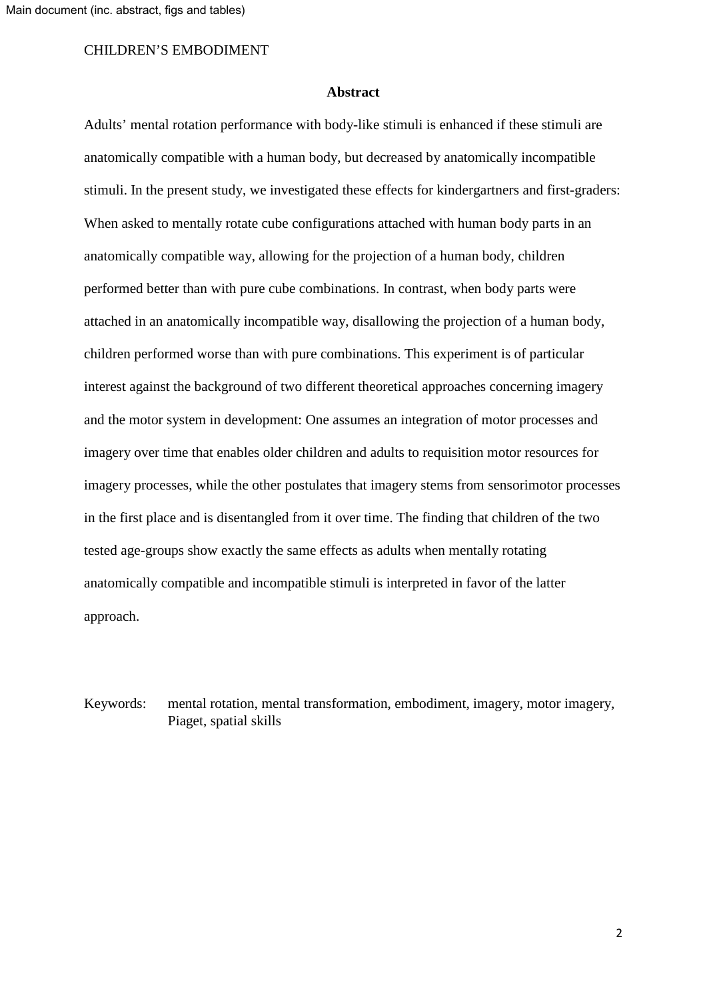#### **Abstract**

Adults' mental rotation performance with body-like stimuli is enhanced if these stimuli are anatomically compatible with a human body, but decreased by anatomically incompatible stimuli. In the present study, we investigated these effects for kindergartners and first-graders: When asked to mentally rotate cube configurations attached with human body parts in an anatomically compatible way, allowing for the projection of a human body, children performed better than with pure cube combinations. In contrast, when body parts were attached in an anatomically incompatible way, disallowing the projection of a human body, children performed worse than with pure combinations. This experiment is of particular interest against the background of two different theoretical approaches concerning imagery and the motor system in development: One assumes an integration of motor processes and imagery over time that enables older children and adults to requisition motor resources for imagery processes, while the other postulates that imagery stems from sensorimotor processes in the first place and is disentangled from it over time. The finding that children of the two tested age-groups show exactly the same effects as adults when mentally rotating anatomically compatible and incompatible stimuli is interpreted in favor of the latter approach.

Keywords: mental rotation, mental transformation, embodiment, imagery, motor imagery, Piaget, spatial skills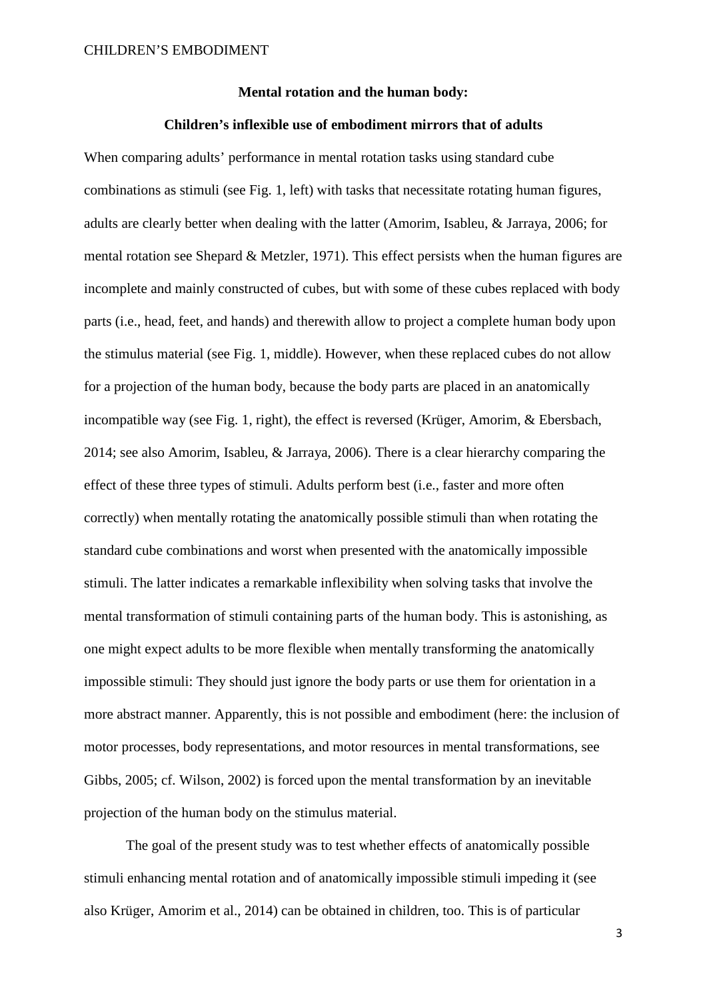## **Mental rotation and the human body:**

## **Children's inflexible use of embodiment mirrors that of adults**

When comparing adults' performance in mental rotation tasks using standard cube combinations as stimuli (see Fig. 1, left) with tasks that necessitate rotating human figures, adults are clearly better when dealing with the latter (Amorim, Isableu, & Jarraya, 2006; for mental rotation see Shepard & Metzler, 1971). This effect persists when the human figures are incomplete and mainly constructed of cubes, but with some of these cubes replaced with body parts (i.e., head, feet, and hands) and therewith allow to project a complete human body upon the stimulus material (see Fig. 1, middle). However, when these replaced cubes do not allow for a projection of the human body, because the body parts are placed in an anatomically incompatible way (see Fig. 1, right), the effect is reversed (Krüger, Amorim, & Ebersbach, 2014; see also Amorim, Isableu, & Jarraya, 2006). There is a clear hierarchy comparing the effect of these three types of stimuli. Adults perform best (i.e., faster and more often correctly) when mentally rotating the anatomically possible stimuli than when rotating the standard cube combinations and worst when presented with the anatomically impossible stimuli. The latter indicates a remarkable inflexibility when solving tasks that involve the mental transformation of stimuli containing parts of the human body. This is astonishing, as one might expect adults to be more flexible when mentally transforming the anatomically impossible stimuli: They should just ignore the body parts or use them for orientation in a more abstract manner. Apparently, this is not possible and embodiment (here: the inclusion of motor processes, body representations, and motor resources in mental transformations, see Gibbs, 2005; cf. Wilson, 2002) is forced upon the mental transformation by an inevitable projection of the human body on the stimulus material.

 The goal of the present study was to test whether effects of anatomically possible stimuli enhancing mental rotation and of anatomically impossible stimuli impeding it (see also Krüger, Amorim et al., 2014) can be obtained in children, too. This is of particular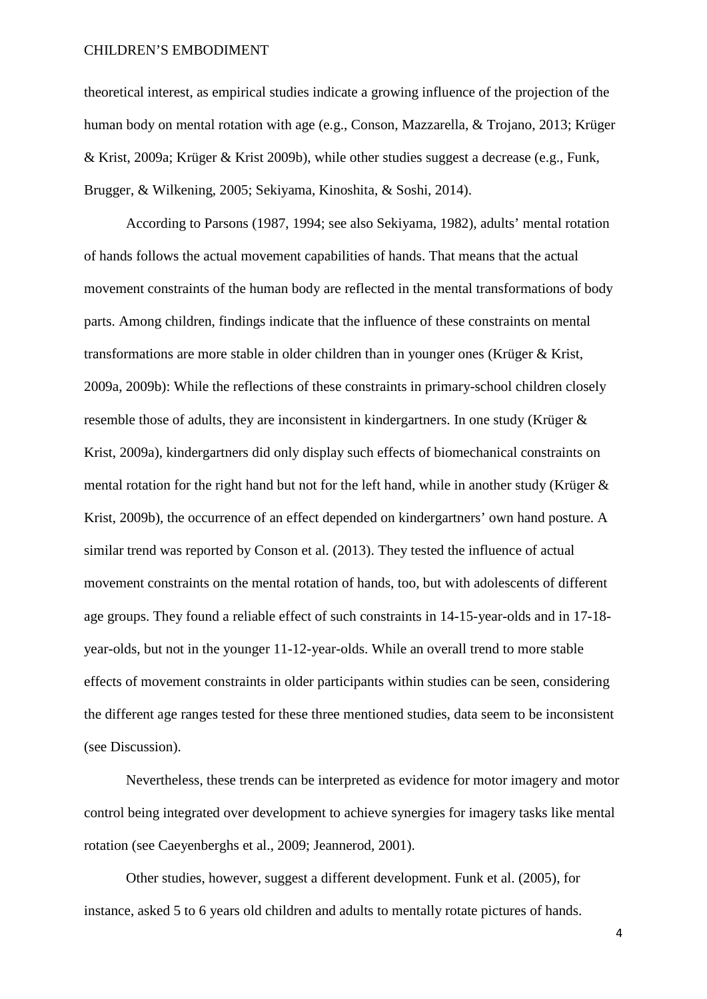theoretical interest, as empirical studies indicate a growing influence of the projection of the human body on mental rotation with age (e.g., Conson, Mazzarella, & Trojano, 2013; Krüger & Krist, 2009a; Krüger & Krist 2009b), while other studies suggest a decrease (e.g., Funk, Brugger, & Wilkening, 2005; Sekiyama, Kinoshita, & Soshi, 2014).

According to Parsons (1987, 1994; see also Sekiyama, 1982), adults' mental rotation of hands follows the actual movement capabilities of hands. That means that the actual movement constraints of the human body are reflected in the mental transformations of body parts. Among children, findings indicate that the influence of these constraints on mental transformations are more stable in older children than in younger ones (Krüger & Krist, 2009a, 2009b): While the reflections of these constraints in primary-school children closely resemble those of adults, they are inconsistent in kindergartners. In one study (Krüger & Krist, 2009a), kindergartners did only display such effects of biomechanical constraints on mental rotation for the right hand but not for the left hand, while in another study (Krüger & Krist, 2009b), the occurrence of an effect depended on kindergartners' own hand posture. A similar trend was reported by Conson et al. (2013). They tested the influence of actual movement constraints on the mental rotation of hands, too, but with adolescents of different age groups. They found a reliable effect of such constraints in 14-15-year-olds and in 17-18 year-olds, but not in the younger 11-12-year-olds. While an overall trend to more stable effects of movement constraints in older participants within studies can be seen, considering the different age ranges tested for these three mentioned studies, data seem to be inconsistent (see Discussion).

Nevertheless, these trends can be interpreted as evidence for motor imagery and motor control being integrated over development to achieve synergies for imagery tasks like mental rotation (see Caeyenberghs et al., 2009; Jeannerod, 2001).

 Other studies, however, suggest a different development. Funk et al. (2005), for instance, asked 5 to 6 years old children and adults to mentally rotate pictures of hands.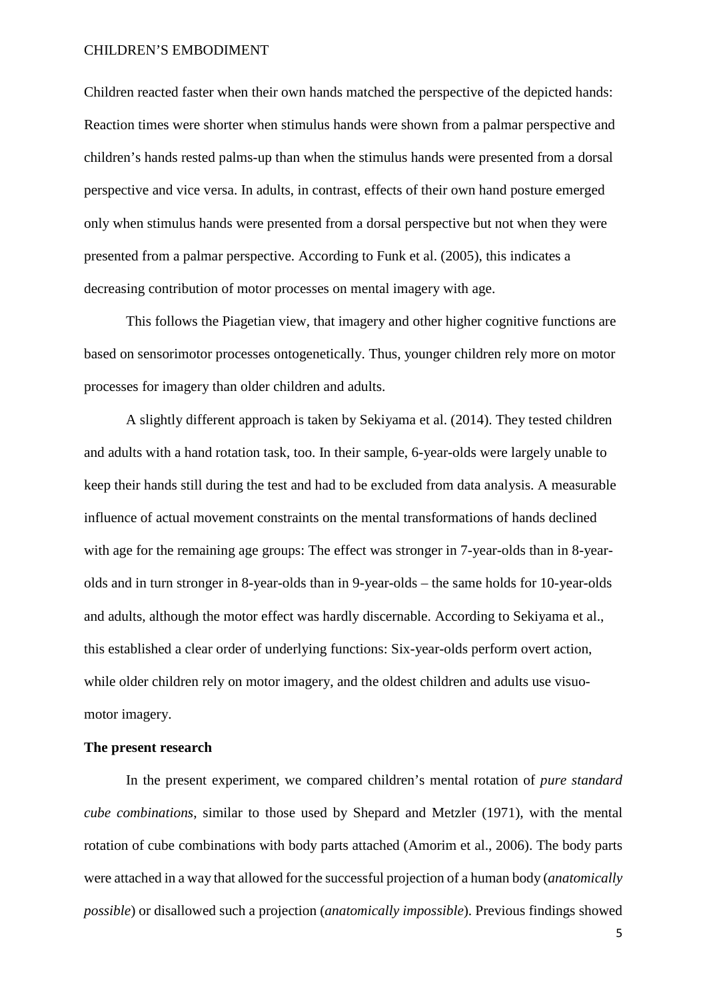Children reacted faster when their own hands matched the perspective of the depicted hands: Reaction times were shorter when stimulus hands were shown from a palmar perspective and children's hands rested palms-up than when the stimulus hands were presented from a dorsal perspective and vice versa. In adults, in contrast, effects of their own hand posture emerged only when stimulus hands were presented from a dorsal perspective but not when they were presented from a palmar perspective. According to Funk et al. (2005), this indicates a decreasing contribution of motor processes on mental imagery with age.

This follows the Piagetian view, that imagery and other higher cognitive functions are based on sensorimotor processes ontogenetically. Thus, younger children rely more on motor processes for imagery than older children and adults.

A slightly different approach is taken by Sekiyama et al. (2014). They tested children and adults with a hand rotation task, too. In their sample, 6-year-olds were largely unable to keep their hands still during the test and had to be excluded from data analysis. A measurable influence of actual movement constraints on the mental transformations of hands declined with age for the remaining age groups: The effect was stronger in 7-year-olds than in 8-yearolds and in turn stronger in 8-year-olds than in 9-year-olds – the same holds for 10-year-olds and adults, although the motor effect was hardly discernable. According to Sekiyama et al., this established a clear order of underlying functions: Six-year-olds perform overt action, while older children rely on motor imagery, and the oldest children and adults use visuomotor imagery.

## **The present research**

In the present experiment, we compared children's mental rotation of *pure standard cube combinations*, similar to those used by Shepard and Metzler (1971), with the mental rotation of cube combinations with body parts attached (Amorim et al., 2006). The body parts were attached in a way that allowed for the successful projection of a human body (*anatomically possible*) or disallowed such a projection (*anatomically impossible*). Previous findings showed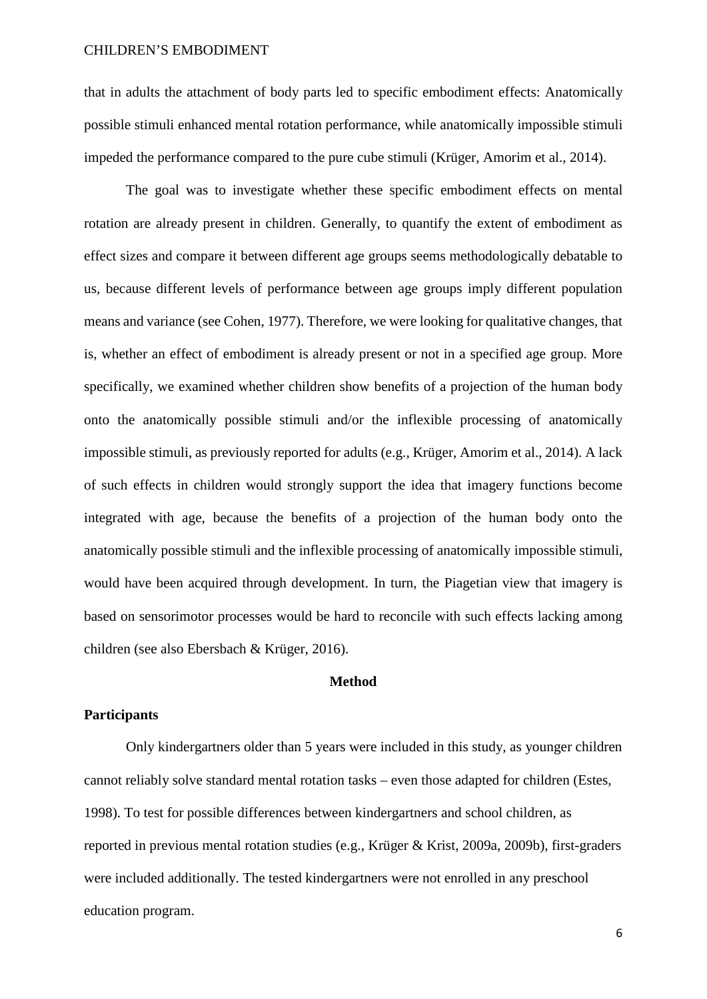that in adults the attachment of body parts led to specific embodiment effects: Anatomically possible stimuli enhanced mental rotation performance, while anatomically impossible stimuli impeded the performance compared to the pure cube stimuli (Krüger, Amorim et al., 2014).

The goal was to investigate whether these specific embodiment effects on mental rotation are already present in children. Generally, to quantify the extent of embodiment as effect sizes and compare it between different age groups seems methodologically debatable to us, because different levels of performance between age groups imply different population means and variance (see Cohen, 1977). Therefore, we were looking for qualitative changes, that is, whether an effect of embodiment is already present or not in a specified age group. More specifically, we examined whether children show benefits of a projection of the human body onto the anatomically possible stimuli and/or the inflexible processing of anatomically impossible stimuli, as previously reported for adults (e.g., Krüger, Amorim et al., 2014). A lack of such effects in children would strongly support the idea that imagery functions become integrated with age, because the benefits of a projection of the human body onto the anatomically possible stimuli and the inflexible processing of anatomically impossible stimuli, would have been acquired through development. In turn, the Piagetian view that imagery is based on sensorimotor processes would be hard to reconcile with such effects lacking among children (see also Ebersbach & Krüger, 2016).

## **Method**

## **Participants**

Only kindergartners older than 5 years were included in this study, as younger children cannot reliably solve standard mental rotation tasks – even those adapted for children (Estes, 1998). To test for possible differences between kindergartners and school children, as reported in previous mental rotation studies (e.g., Krüger & Krist, 2009a, 2009b), first-graders were included additionally. The tested kindergartners were not enrolled in any preschool education program.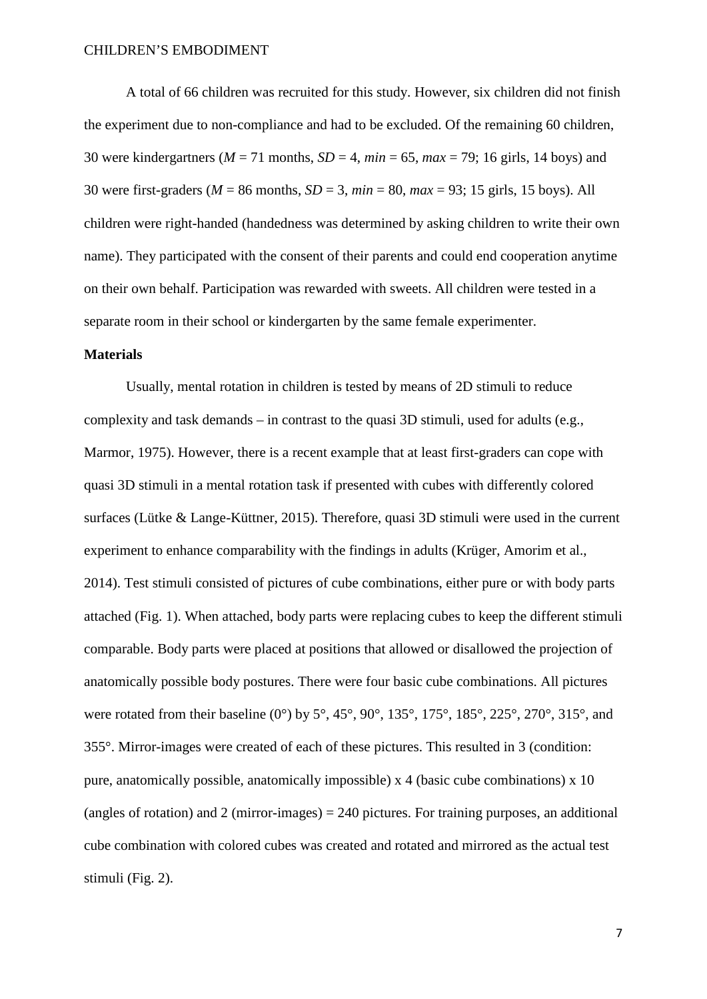A total of 66 children was recruited for this study. However, six children did not finish the experiment due to non-compliance and had to be excluded. Of the remaining 60 children, 30 were kindergartners ( $M = 71$  months,  $SD = 4$ ,  $min = 65$ ,  $max = 79$ ; 16 girls, 14 boys) and 30 were first-graders (*M* = 86 months, *SD* = 3, *min* = 80, *max* = 93; 15 girls, 15 boys). All children were right-handed (handedness was determined by asking children to write their own name). They participated with the consent of their parents and could end cooperation anytime on their own behalf. Participation was rewarded with sweets. All children were tested in a separate room in their school or kindergarten by the same female experimenter.

## **Materials**

Usually, mental rotation in children is tested by means of 2D stimuli to reduce complexity and task demands – in contrast to the quasi 3D stimuli, used for adults (e.g., Marmor, 1975). However, there is a recent example that at least first-graders can cope with quasi 3D stimuli in a mental rotation task if presented with cubes with differently colored surfaces (Lütke & Lange-Küttner, 2015). Therefore, quasi 3D stimuli were used in the current experiment to enhance comparability with the findings in adults (Krüger, Amorim et al., 2014). Test stimuli consisted of pictures of cube combinations, either pure or with body parts attached (Fig. 1). When attached, body parts were replacing cubes to keep the different stimuli comparable. Body parts were placed at positions that allowed or disallowed the projection of anatomically possible body postures. There were four basic cube combinations. All pictures were rotated from their baseline (0°) by  $5^{\circ}$ ,  $45^{\circ}$ ,  $90^{\circ}$ ,  $135^{\circ}$ ,  $175^{\circ}$ ,  $185^{\circ}$ ,  $225^{\circ}$ ,  $270^{\circ}$ ,  $315^{\circ}$ , and 355°. Mirror-images were created of each of these pictures. This resulted in 3 (condition: pure, anatomically possible, anatomically impossible) x 4 (basic cube combinations) x 10 (angles of rotation) and 2 (mirror-images)  $= 240$  pictures. For training purposes, an additional cube combination with colored cubes was created and rotated and mirrored as the actual test stimuli (Fig. 2).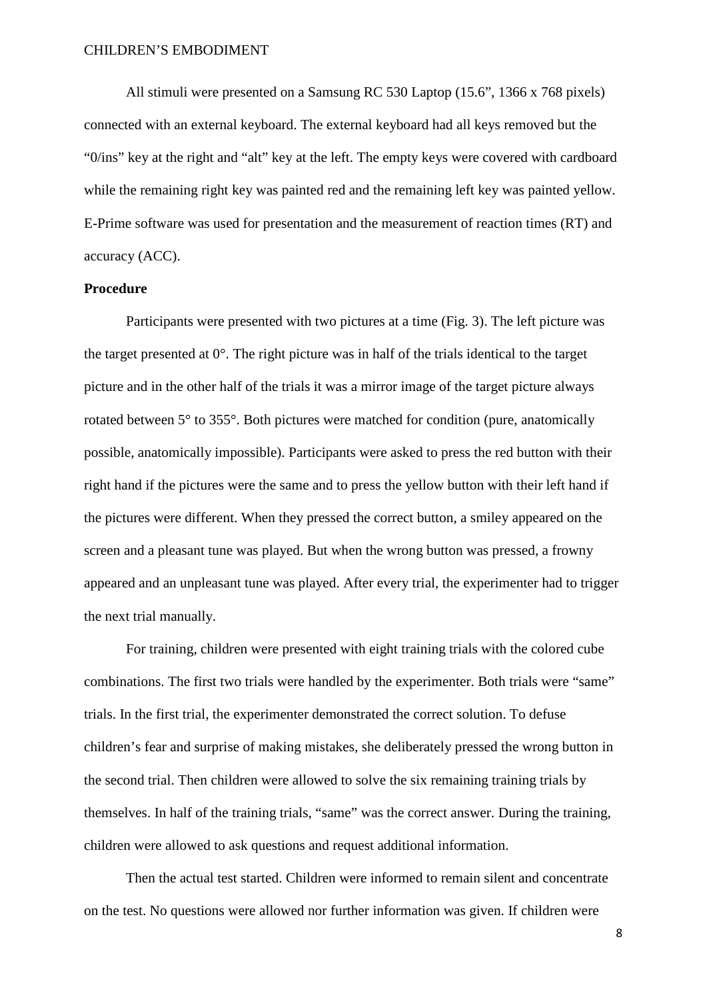All stimuli were presented on a Samsung RC 530 Laptop (15.6", 1366 x 768 pixels) connected with an external keyboard. The external keyboard had all keys removed but the "0/ins" key at the right and "alt" key at the left. The empty keys were covered with cardboard while the remaining right key was painted red and the remaining left key was painted yellow. E-Prime software was used for presentation and the measurement of reaction times (RT) and accuracy (ACC).

## **Procedure**

Participants were presented with two pictures at a time (Fig. 3). The left picture was the target presented at  $0^\circ$ . The right picture was in half of the trials identical to the target picture and in the other half of the trials it was a mirror image of the target picture always rotated between 5° to 355°. Both pictures were matched for condition (pure, anatomically possible, anatomically impossible). Participants were asked to press the red button with their right hand if the pictures were the same and to press the yellow button with their left hand if the pictures were different. When they pressed the correct button, a smiley appeared on the screen and a pleasant tune was played. But when the wrong button was pressed, a frowny appeared and an unpleasant tune was played. After every trial, the experimenter had to trigger the next trial manually.

For training, children were presented with eight training trials with the colored cube combinations. The first two trials were handled by the experimenter. Both trials were "same" trials. In the first trial, the experimenter demonstrated the correct solution. To defuse children's fear and surprise of making mistakes, she deliberately pressed the wrong button in the second trial. Then children were allowed to solve the six remaining training trials by themselves. In half of the training trials, "same" was the correct answer. During the training, children were allowed to ask questions and request additional information.

Then the actual test started. Children were informed to remain silent and concentrate on the test. No questions were allowed nor further information was given. If children were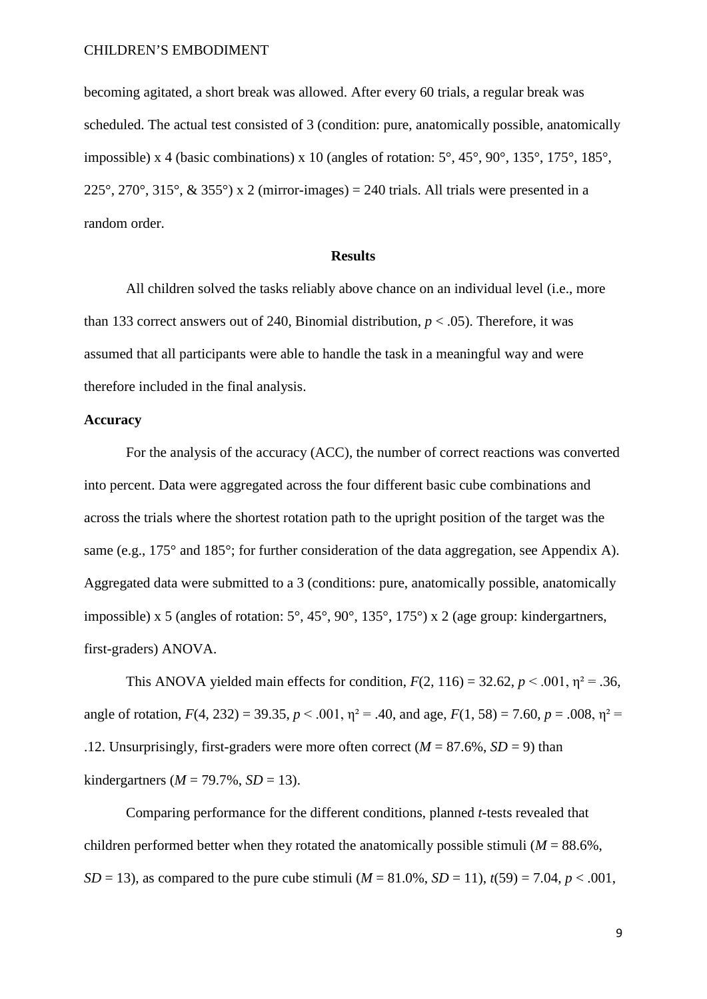becoming agitated, a short break was allowed. After every 60 trials, a regular break was scheduled. The actual test consisted of 3 (condition: pure, anatomically possible, anatomically impossible) x 4 (basic combinations) x 10 (angles of rotation: 5°, 45°, 90°, 135°, 175°, 185°, 225°, 270°, 315°, & 355°) x 2 (mirror-images) = 240 trials. All trials were presented in a random order.

## **Results**

All children solved the tasks reliably above chance on an individual level (i.e., more than 133 correct answers out of 240, Binomial distribution,  $p < .05$ ). Therefore, it was assumed that all participants were able to handle the task in a meaningful way and were therefore included in the final analysis.

#### **Accuracy**

For the analysis of the accuracy (ACC), the number of correct reactions was converted into percent. Data were aggregated across the four different basic cube combinations and across the trials where the shortest rotation path to the upright position of the target was the same (e.g., 175° and 185°; for further consideration of the data aggregation, see Appendix A). Aggregated data were submitted to a 3 (conditions: pure, anatomically possible, anatomically impossible) x 5 (angles of rotation: 5°, 45°, 90°, 135°, 175°) x 2 (age group: kindergartners, first-graders) ANOVA.

This ANOVA yielded main effects for condition,  $F(2, 116) = 32.62$ ,  $p < .001$ ,  $p^2 = .36$ , angle of rotation,  $F(4, 232) = 39.35$ ,  $p < .001$ ,  $p = .40$ , and age,  $F(1, 58) = 7.60$ ,  $p = .008$ ,  $p^2 =$ .12. Unsurprisingly, first-graders were more often correct  $(M = 87.6\%$ ,  $SD = 9$ ) than kindergartners ( $M = 79.7\%$ ,  $SD = 13$ ).

Comparing performance for the different conditions, planned *t*-tests revealed that children performed better when they rotated the anatomically possible stimuli ( $M = 88.6\%$ , *SD* = 13), as compared to the pure cube stimuli ( $M = 81.0\%$ , *SD* = 11),  $t(59) = 7.04$ ,  $p < .001$ ,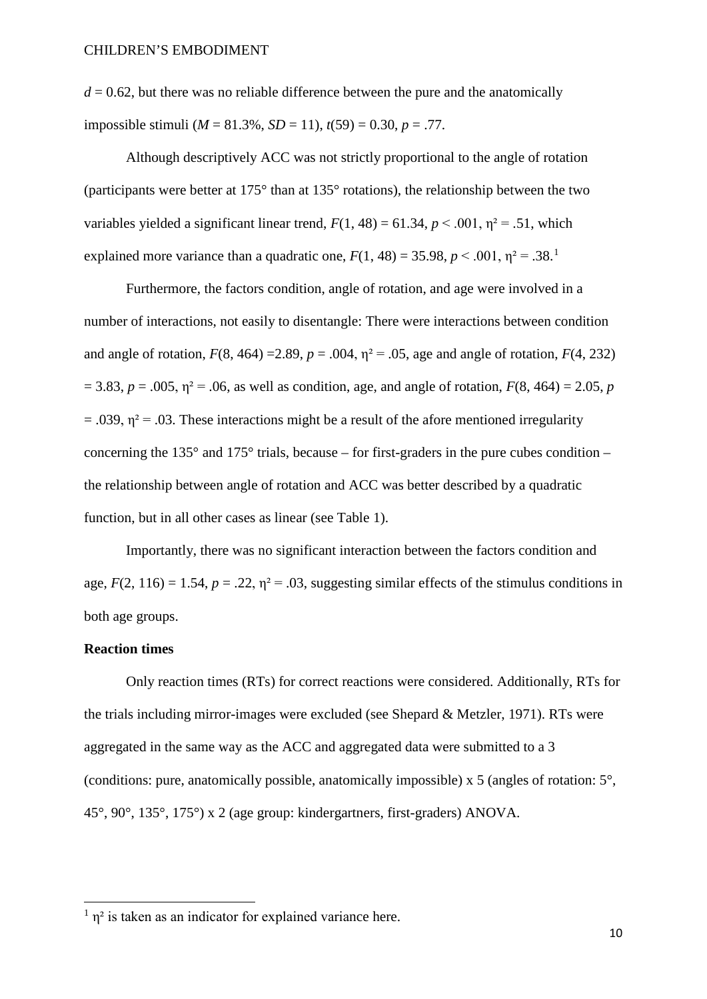$d = 0.62$ , but there was no reliable difference between the pure and the anatomically impossible stimuli ( $M = 81.3\%$ ,  $SD = 11$ ),  $t(59) = 0.30$ ,  $p = .77$ .

 Although descriptively ACC was not strictly proportional to the angle of rotation (participants were better at 175° than at 135° rotations), the relationship between the two variables yielded a significant linear trend,  $F(1, 48) = 61.34$ ,  $p < .001$ ,  $p^2 = .51$ , which explained more variance than a quadratic one,  $F(1, 48) = 35.98$  $F(1, 48) = 35.98$  $F(1, 48) = 35.98$ ,  $p < .001$ ,  $p^2 = .38$ .<sup>1</sup>

 Furthermore, the factors condition, angle of rotation, and age were involved in a number of interactions, not easily to disentangle: There were interactions between condition and angle of rotation,  $F(8, 464) = 2.89$ ,  $p = .004$ ,  $\eta^2 = .05$ , age and angle of rotation,  $F(4, 232)$  $= 3.83, p = .005, \eta^2 = .06$ , as well as condition, age, and angle of rotation,  $F(8, 464) = 2.05, p$  $= .039$ ,  $\eta^2 = .03$ . These interactions might be a result of the afore mentioned irregularity concerning the 135 $^{\circ}$  and 175 $^{\circ}$  trials, because – for first-graders in the pure cubes condition – the relationship between angle of rotation and ACC was better described by a quadratic function, but in all other cases as linear (see Table 1).

 Importantly, there was no significant interaction between the factors condition and age,  $F(2, 116) = 1.54$ ,  $p = .22$ ,  $\eta^2 = .03$ , suggesting similar effects of the stimulus conditions in both age groups.

#### **Reaction times**

 $\overline{a}$ 

Only reaction times (RTs) for correct reactions were considered. Additionally, RTs for the trials including mirror-images were excluded (see Shepard & Metzler, 1971). RTs were aggregated in the same way as the ACC and aggregated data were submitted to a 3 (conditions: pure, anatomically possible, anatomically impossible) x 5 (angles of rotation: 5°, 45°, 90°, 135°, 175°) x 2 (age group: kindergartners, first-graders) ANOVA.

<span id="page-12-0"></span> $1 \text{ n}^2$  is taken as an indicator for explained variance here.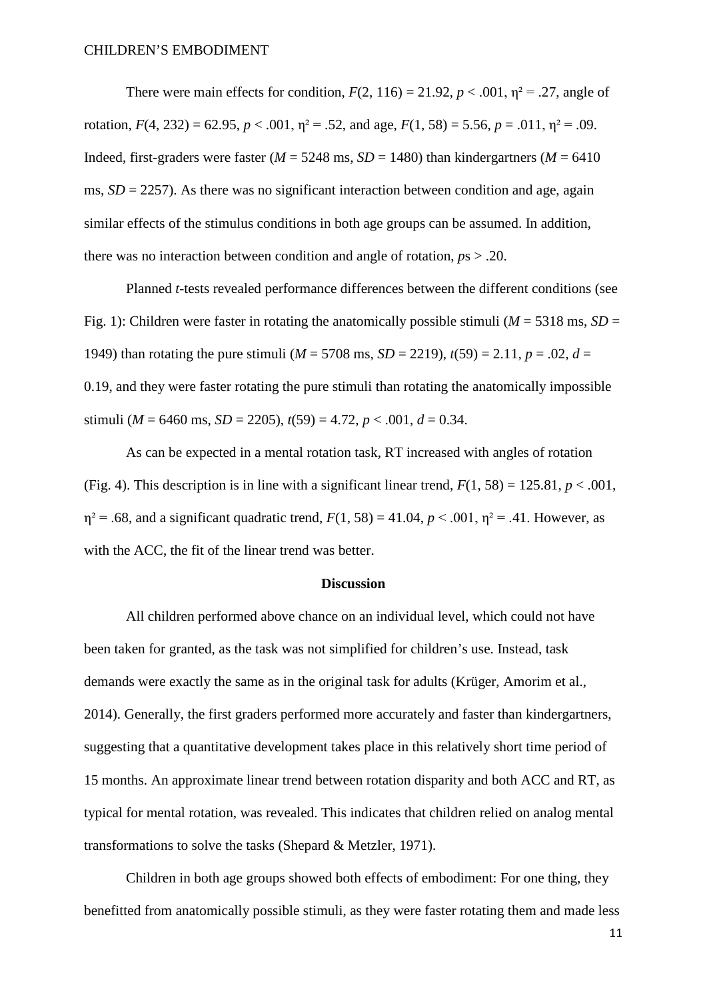There were main effects for condition,  $F(2, 116) = 21.92$ ,  $p < .001$ ,  $\eta^2 = .27$ , angle of rotation,  $F(4, 232) = 62.95$ ,  $p < .001$ ,  $\eta^2 = .52$ , and age,  $F(1, 58) = 5.56$ ,  $p = .011$ ,  $\eta^2 = .09$ . Indeed, first-graders were faster ( $M = 5248$  ms,  $SD = 1480$ ) than kindergartners ( $M = 6410$ ms,  $SD = 2257$ ). As there was no significant interaction between condition and age, again similar effects of the stimulus conditions in both age groups can be assumed. In addition, there was no interaction between condition and angle of rotation,  $p_s > .20$ .

 Planned *t*-tests revealed performance differences between the different conditions (see Fig. 1): Children were faster in rotating the anatomically possible stimuli ( $M = 5318$  ms,  $SD =$ 1949) than rotating the pure stimuli ( $M = 5708$  ms,  $SD = 2219$ ),  $t(59) = 2.11$ ,  $p = .02$ ,  $d =$ 0.19, and they were faster rotating the pure stimuli than rotating the anatomically impossible stimuli ( $M = 6460$  ms,  $SD = 2205$ ),  $t(59) = 4.72$ ,  $p < .001$ ,  $d = 0.34$ .

As can be expected in a mental rotation task, RT increased with angles of rotation (Fig. 4). This description is in line with a significant linear trend,  $F(1, 58) = 125.81, p < .001$ ,  $\eta^2 = .68$ , and a significant quadratic trend,  $F(1, 58) = 41.04$ ,  $p < .001$ ,  $\eta^2 = .41$ . However, as with the ACC, the fit of the linear trend was better.

#### **Discussion**

All children performed above chance on an individual level, which could not have been taken for granted, as the task was not simplified for children's use. Instead, task demands were exactly the same as in the original task for adults (Krüger, Amorim et al., 2014). Generally, the first graders performed more accurately and faster than kindergartners, suggesting that a quantitative development takes place in this relatively short time period of 15 months. An approximate linear trend between rotation disparity and both ACC and RT, as typical for mental rotation, was revealed. This indicates that children relied on analog mental transformations to solve the tasks (Shepard & Metzler, 1971).

 Children in both age groups showed both effects of embodiment: For one thing, they benefitted from anatomically possible stimuli, as they were faster rotating them and made less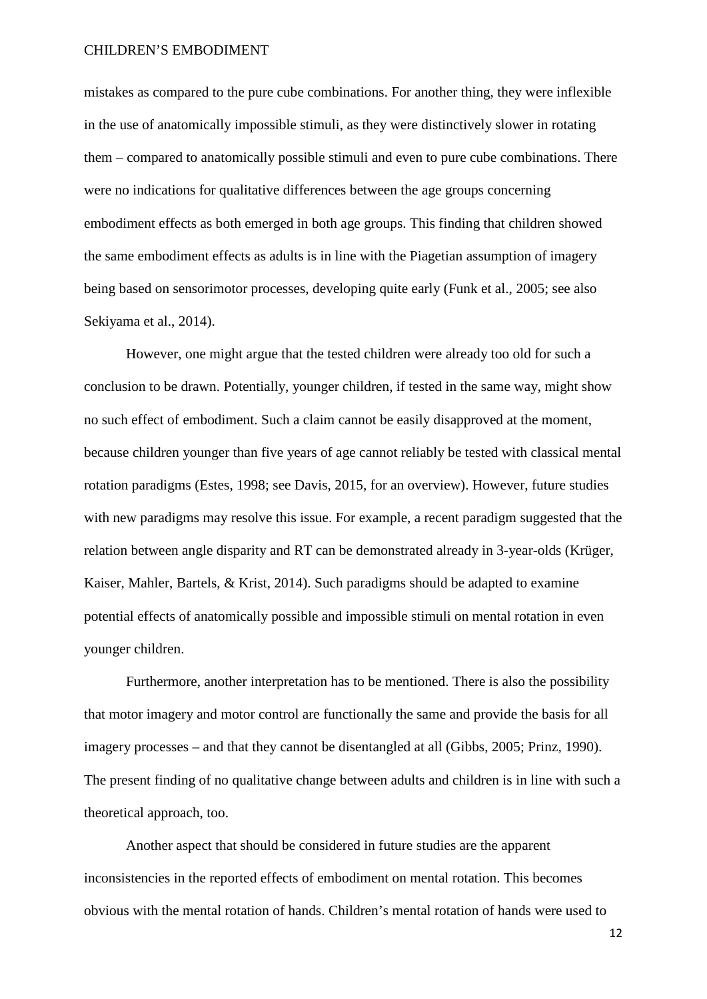mistakes as compared to the pure cube combinations. For another thing, they were inflexible in the use of anatomically impossible stimuli, as they were distinctively slower in rotating them – compared to anatomically possible stimuli and even to pure cube combinations. There were no indications for qualitative differences between the age groups concerning embodiment effects as both emerged in both age groups. This finding that children showed the same embodiment effects as adults is in line with the Piagetian assumption of imagery being based on sensorimotor processes, developing quite early (Funk et al., 2005; see also Sekiyama et al., 2014).

 However, one might argue that the tested children were already too old for such a conclusion to be drawn. Potentially, younger children, if tested in the same way, might show no such effect of embodiment. Such a claim cannot be easily disapproved at the moment, because children younger than five years of age cannot reliably be tested with classical mental rotation paradigms (Estes, 1998; see Davis, 2015, for an overview). However, future studies with new paradigms may resolve this issue. For example, a recent paradigm suggested that the relation between angle disparity and RT can be demonstrated already in 3-year-olds (Krüger, Kaiser, Mahler, Bartels, & Krist, 2014). Such paradigms should be adapted to examine potential effects of anatomically possible and impossible stimuli on mental rotation in even younger children.

Furthermore, another interpretation has to be mentioned. There is also the possibility that motor imagery and motor control are functionally the same and provide the basis for all imagery processes – and that they cannot be disentangled at all (Gibbs, 2005; Prinz, 1990). The present finding of no qualitative change between adults and children is in line with such a theoretical approach, too.

 Another aspect that should be considered in future studies are the apparent inconsistencies in the reported effects of embodiment on mental rotation. This becomes obvious with the mental rotation of hands. Children's mental rotation of hands were used to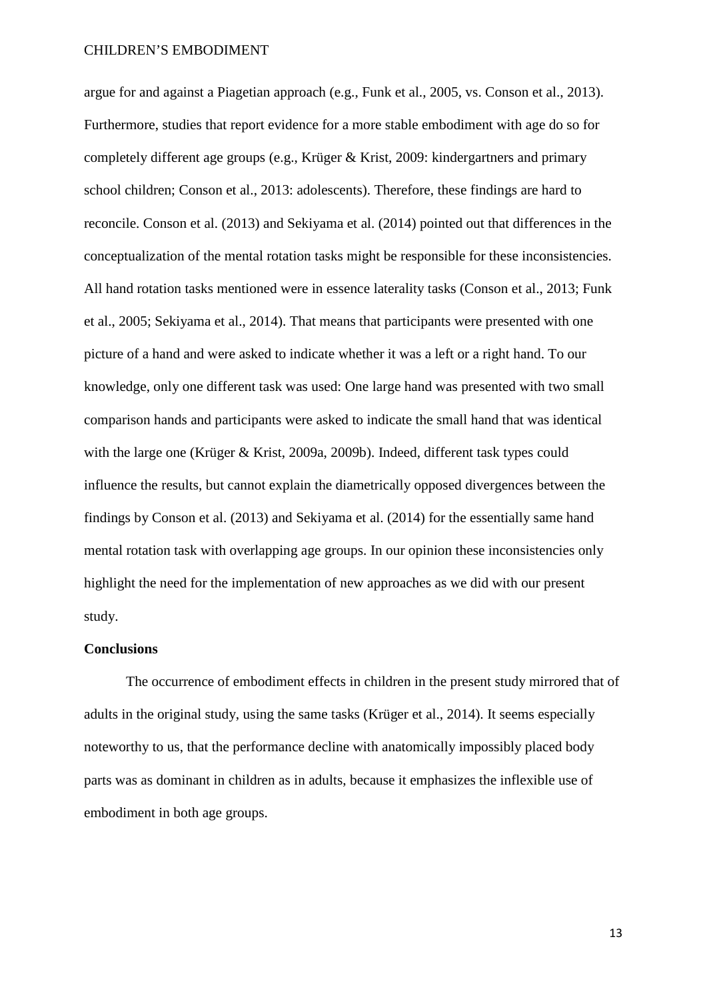argue for and against a Piagetian approach (e.g., Funk et al., 2005, vs. Conson et al., 2013). Furthermore, studies that report evidence for a more stable embodiment with age do so for completely different age groups (e.g., Krüger & Krist, 2009: kindergartners and primary school children; Conson et al., 2013: adolescents). Therefore, these findings are hard to reconcile. Conson et al. (2013) and Sekiyama et al. (2014) pointed out that differences in the conceptualization of the mental rotation tasks might be responsible for these inconsistencies. All hand rotation tasks mentioned were in essence laterality tasks (Conson et al., 2013; Funk et al., 2005; Sekiyama et al., 2014). That means that participants were presented with one picture of a hand and were asked to indicate whether it was a left or a right hand. To our knowledge, only one different task was used: One large hand was presented with two small comparison hands and participants were asked to indicate the small hand that was identical with the large one (Krüger & Krist, 2009a, 2009b). Indeed, different task types could influence the results, but cannot explain the diametrically opposed divergences between the findings by Conson et al. (2013) and Sekiyama et al. (2014) for the essentially same hand mental rotation task with overlapping age groups. In our opinion these inconsistencies only highlight the need for the implementation of new approaches as we did with our present study.

#### **Conclusions**

 The occurrence of embodiment effects in children in the present study mirrored that of adults in the original study, using the same tasks (Krüger et al., 2014). It seems especially noteworthy to us, that the performance decline with anatomically impossibly placed body parts was as dominant in children as in adults, because it emphasizes the inflexible use of embodiment in both age groups.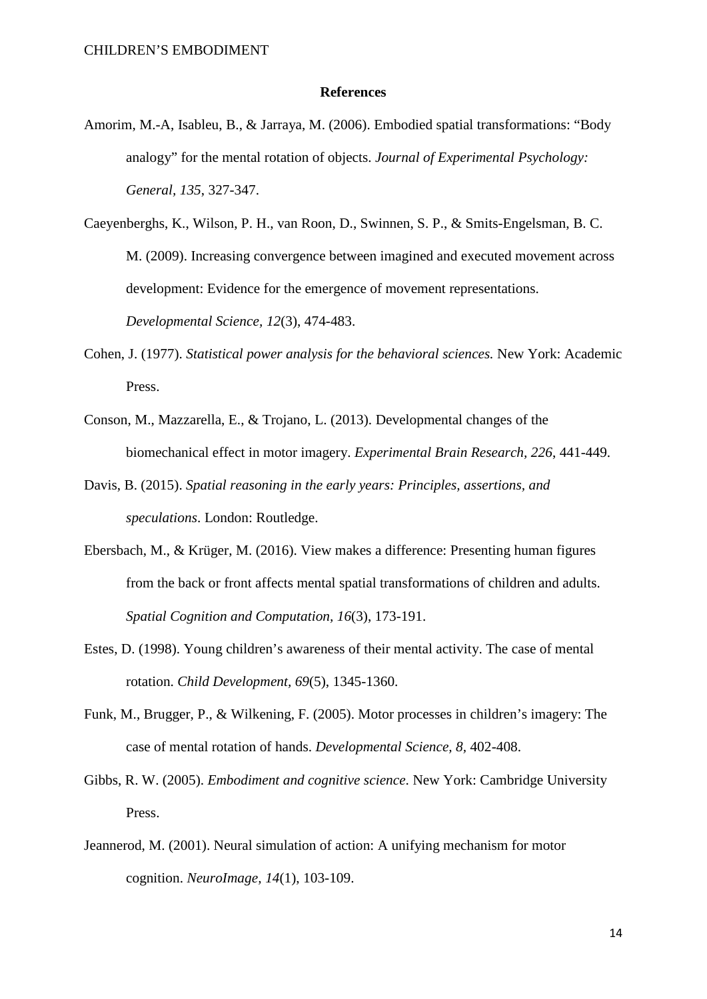#### **References**

Amorim, M.-A, Isableu, B., & Jarraya, M. (2006). Embodied spatial transformations: "Body analogy" for the mental rotation of objects. *Journal of Experimental Psychology: General, 135*, 327-347.

Caeyenberghs, K., Wilson, P. H., van Roon, D., Swinnen, S. P., & Smits-Engelsman, B. C. M. (2009). Increasing convergence between imagined and executed movement across development: Evidence for the emergence of movement representations. *Developmental Science, 12*(3), 474-483.

- Cohen, J. (1977). *Statistical power analysis for the behavioral sciences.* New York: Academic Press.
- Conson, M., Mazzarella, E., & Trojano, L. (2013). Developmental changes of the biomechanical effect in motor imagery. *Experimental Brain Research, 226*, 441-449.
- Davis, B. (2015). *Spatial reasoning in the early years: Principles, assertions, and speculations*. London: Routledge.
- Ebersbach, M., & Krüger, M. (2016). View makes a difference: Presenting human figures from the back or front affects mental spatial transformations of children and adults. *Spatial Cognition and Computation, 16*(3), 173-191.
- Estes, D. (1998). Young children's awareness of their mental activity. The case of mental rotation. *Child Development, 69*(5), 1345-1360.
- Funk, M., Brugger, P., & Wilkening, F. (2005). Motor processes in children's imagery: The case of mental rotation of hands. *Developmental Science, 8,* 402-408.
- Gibbs, R. W. (2005). *Embodiment and cognitive science*. New York: Cambridge University Press.
- Jeannerod, M. (2001). Neural simulation of action: A unifying mechanism for motor cognition. *NeuroImage, 14*(1), 103-109.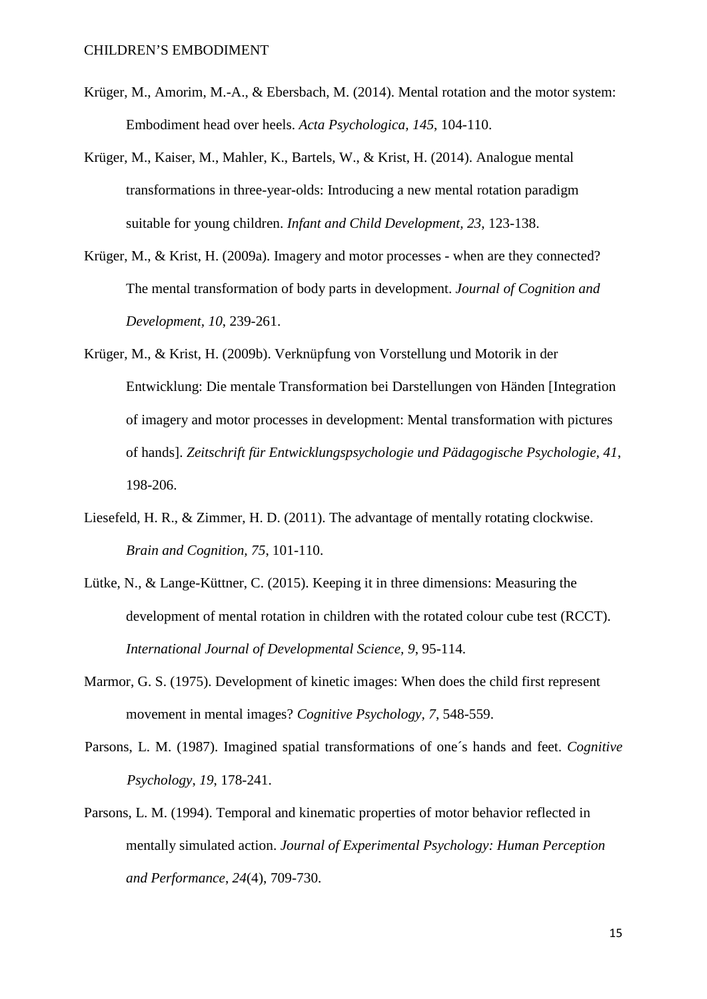- Krüger, M., Amorim, M.-A., & Ebersbach, M. (2014). Mental rotation and the motor system: Embodiment head over heels. *Acta Psychologica, 145*, 104-110.
- Krüger, M., Kaiser, M., Mahler, K., Bartels, W., & Krist, H. (2014). Analogue mental transformations in three-year-olds: Introducing a new mental rotation paradigm suitable for young children. *Infant and Child Development, 23*, 123-138.
- Krüger, M., & Krist, H. (2009a). Imagery and motor processes when are they connected? The mental transformation of body parts in development. *Journal of Cognition and Development, 10*, 239-261.
- Krüger, M., & Krist, H. (2009b). Verknüpfung von Vorstellung und Motorik in der Entwicklung: Die mentale Transformation bei Darstellungen von Händen [Integration of imagery and motor processes in development: Mental transformation with pictures of hands]. *Zeitschrift für Entwicklungspsychologie und Pädagogische Psychologie, 41*, 198-206.
- Liesefeld, H. R., & Zimmer, H. D. (2011). The advantage of mentally rotating clockwise. *Brain and Cognition, 75*, 101-110.
- Lütke, N., & Lange-Küttner, C. (2015). Keeping it in three dimensions: Measuring the development of mental rotation in children with the rotated colour cube test (RCCT). *International Journal of Developmental Science, 9*, 95-114.
- Marmor, G. S. (1975). Development of kinetic images: When does the child first represent movement in mental images? *Cognitive Psychology, 7*, 548-559.
- Parsons, L. M. (1987). Imagined spatial transformations of one´s hands and feet. *Cognitive Psychology*, *19*, 178-241.
- Parsons, L. M. (1994). Temporal and kinematic properties of motor behavior reflected in mentally simulated action. *Journal of Experimental Psychology: Human Perception and Performance*, *24*(4), 709-730.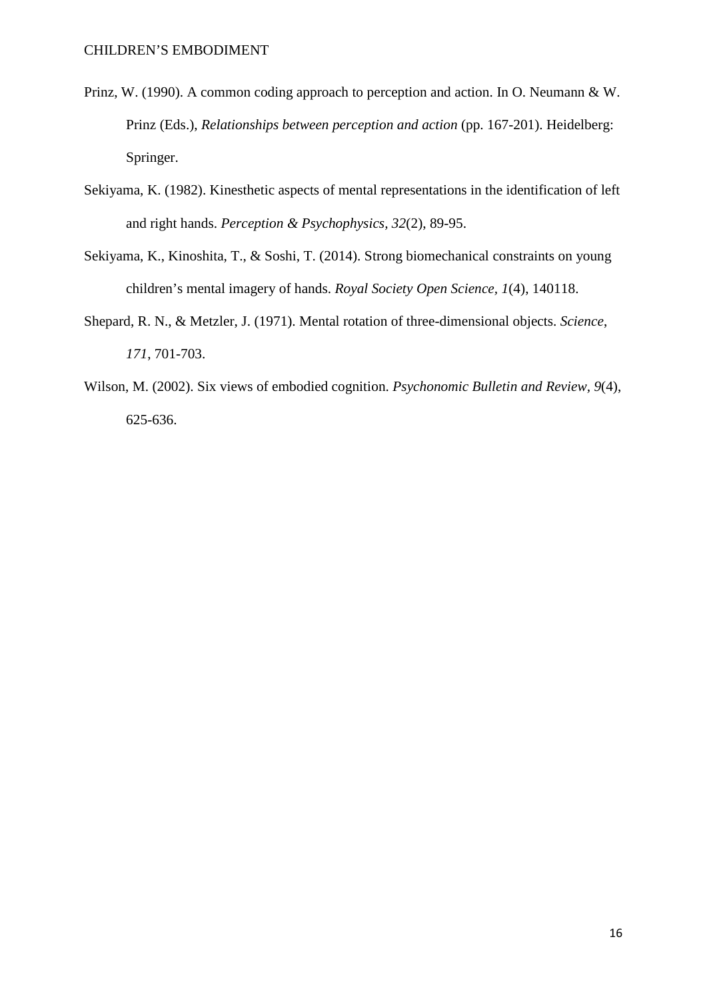- Prinz, W. (1990). A common coding approach to perception and action. In O. Neumann & W. Prinz (Eds.), *Relationships between perception and action* (pp. 167-201). Heidelberg: Springer.
- Sekiyama, K. (1982). Kinesthetic aspects of mental representations in the identification of left and right hands. *Perception & Psychophysics, 32*(2), 89-95.
- Sekiyama, K., Kinoshita, T., & Soshi, T. (2014). Strong biomechanical constraints on young children's mental imagery of hands. *Royal Society Open Science, 1*(4), 140118.
- Shepard, R. N., & Metzler, J. (1971). Mental rotation of three-dimensional objects. *Science*, *171*, 701-703.
- Wilson, M. (2002). Six views of embodied cognition. *Psychonomic Bulletin and Review, 9*(4), 625-636.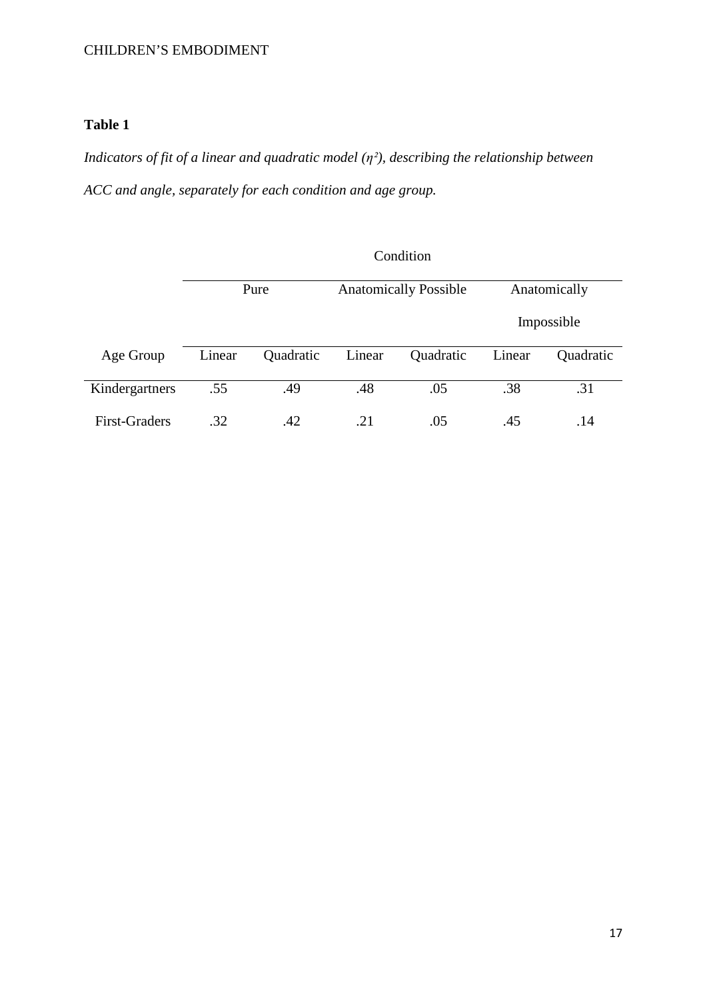## **Table 1**

*Indicators of fit of a linear and quadratic model (η²), describing the relationship between ACC and angle, separately for each condition and age group.*

|                | Condition |           |                              |           |              |            |  |
|----------------|-----------|-----------|------------------------------|-----------|--------------|------------|--|
|                | Pure      |           | <b>Anatomically Possible</b> |           | Anatomically |            |  |
|                |           |           |                              |           |              | Impossible |  |
| Age Group      | Linear    | Quadratic | Linear                       | Quadratic | Linear       | Quadratic  |  |
| Kindergartners | .55       | .49       | .48                          | .05       | .38          | .31        |  |
| First-Graders  | .32       | .42       | .21                          | .05       | .45          | .14        |  |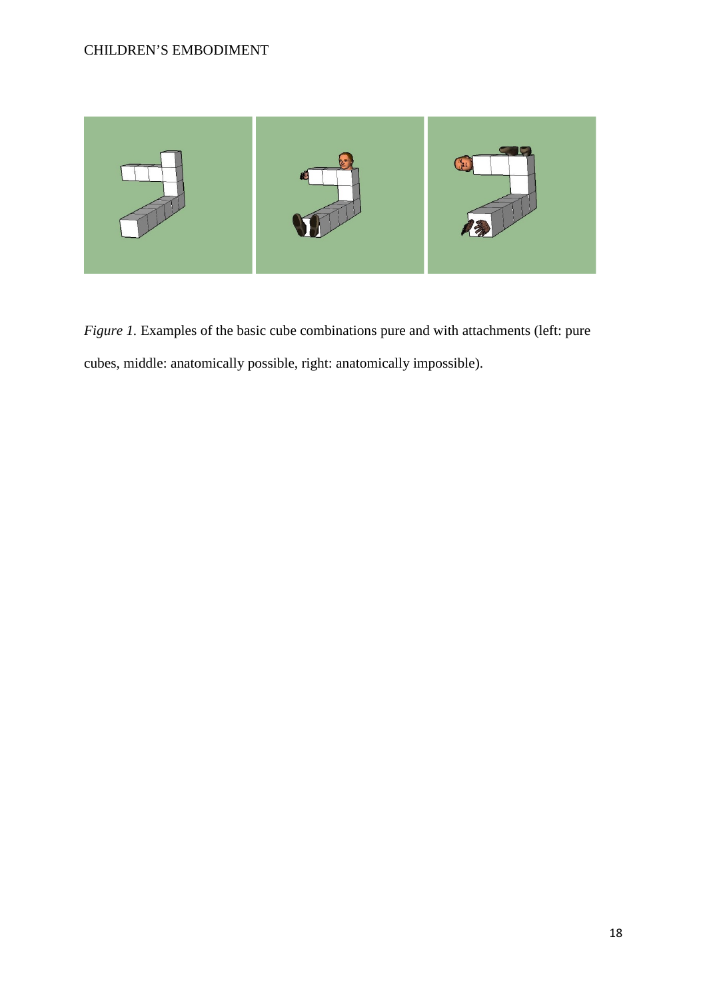

*Figure 1.* Examples of the basic cube combinations pure and with attachments (left: pure cubes, middle: anatomically possible, right: anatomically impossible).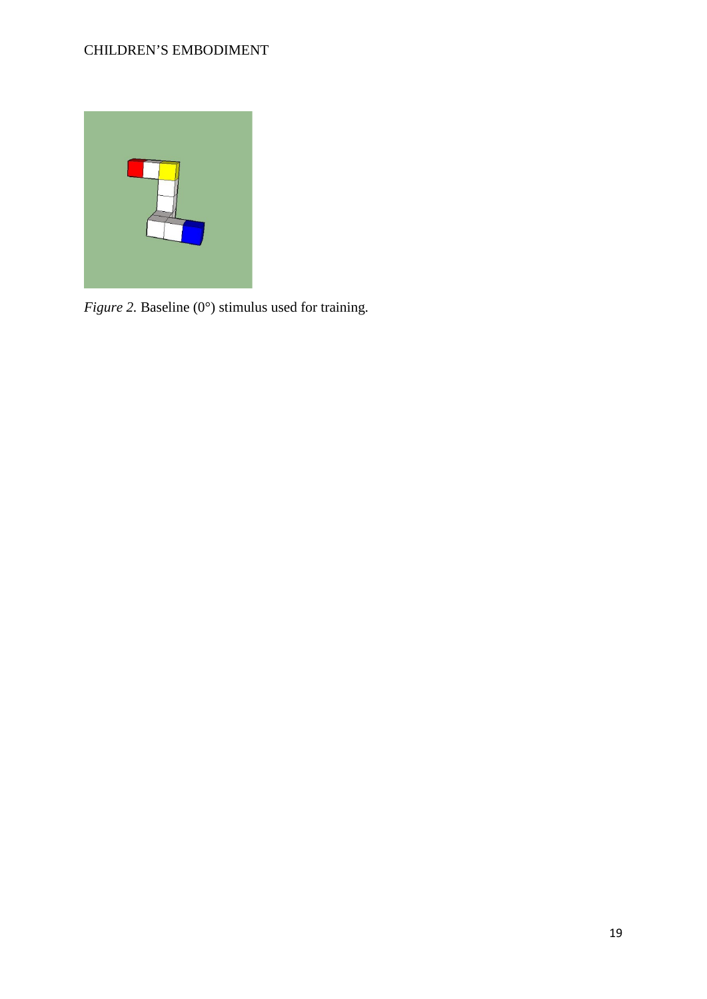

*Figure 2.* Baseline (0°) stimulus used for training.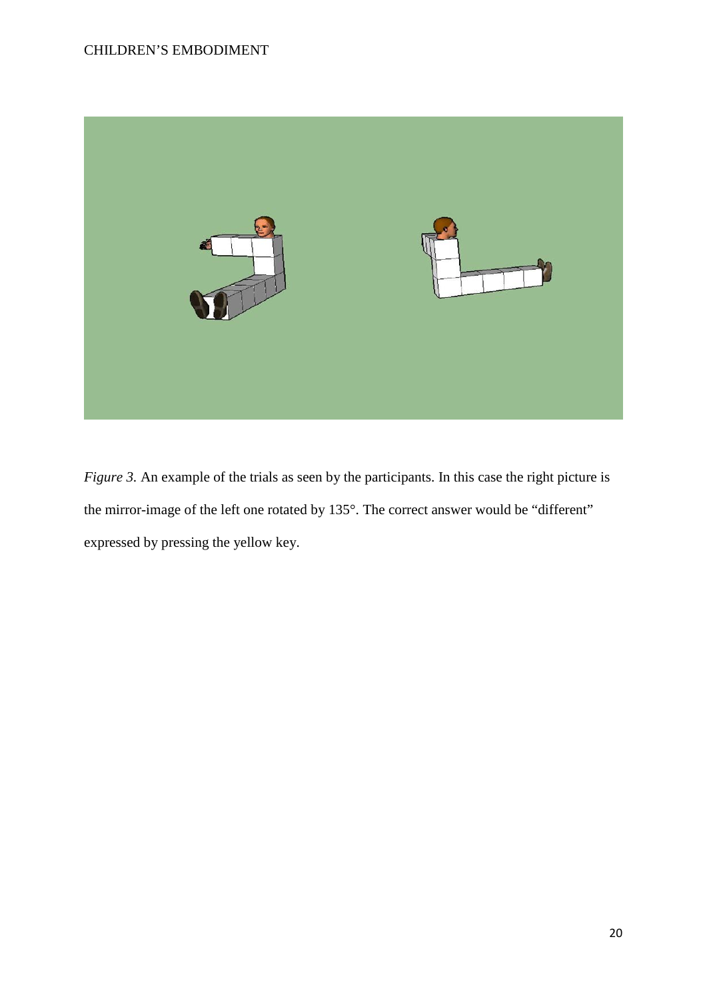

*Figure 3.* An example of the trials as seen by the participants. In this case the right picture is the mirror-image of the left one rotated by 135°. The correct answer would be "different" expressed by pressing the yellow key.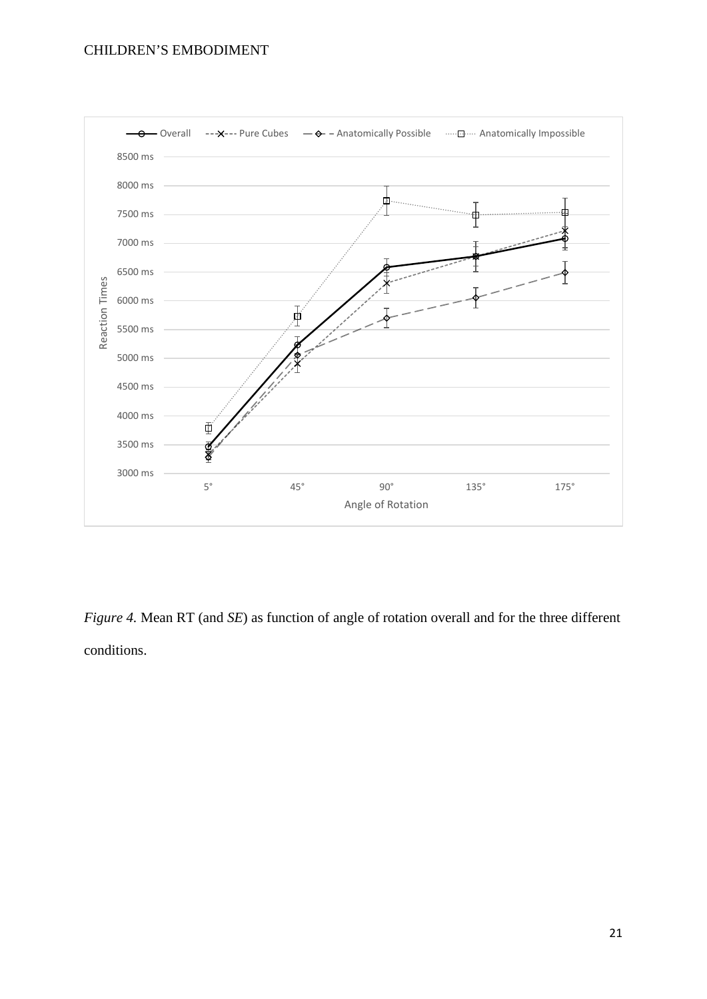

*Figure 4.* Mean RT (and *SE*) as function of angle of rotation overall and for the three different conditions.